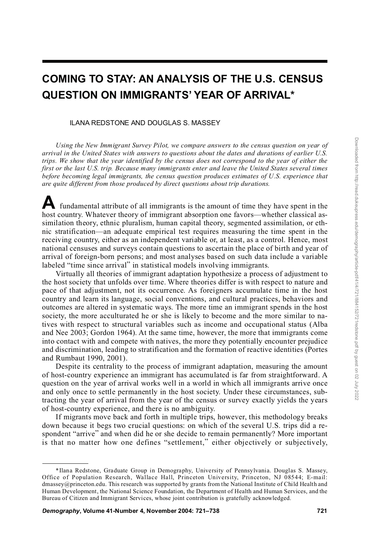# **COMING TO STAY: AN ANALYSIS OF THE U.S. CENSUS QUESTION ON IMMIGRANTS' YEAR OF ARRIVAL\***

#### ILANA REDSTONE AND DOUGLAS S. MASSEY

*Using the New Immigrant Survey Pilot, we compare answers to the census question on year of arrival in the United States with answers to questions about the dates and durations of earlier U.S. trips. We show that the year identified by the census does not correspond to the year of either the first or the last U.S. trip. Because many immigrants enter and leave the United States several times before becoming legal immigrants, the census question produces estimates of U.S. experience that are quite different from those produced by direct questions about trip durations.*

**A** fundamental attribute of all immigrants is the amount of time they have spent in the host country. Whatever theory of immigrant absorption one favors—whether classical assimilation theory, ethnic pluralism, human capital theory, segmented assimilation, or ethnic stratification—an adequate empirical test requires measuring the time spent in the receiving country, either as an independent variable or, at least, as a control. Hence, most national censuses and surveys contain questions to ascertain the place of birth and year of arrival of foreign-born persons; and most analyses based on such data include a variable labeled "time since arrival" in statistical models involving immigrants.

Virtually all theories of immigrant adaptation hypothesize a process of adjustment to the host society that unfolds over time. Where theories differ is with respect to nature and pace of that adjustment, not its occurrence. As foreigners accumulate time in the host country and learn its language, social conventions, and cultural practices, behaviors and outcomes are altered in systematic ways. The more time an immigrant spends in the host society, the more acculturated he or she is likely to become and the more similar to natives with respect to structural variables such as income and occupational status (Alba and Nee 2003; Gordon 1964). At the same time, however, the more that immigrants come into contact with and compete with natives, the more they potentially encounter prejudice and discrimination, leading to stratification and the formation of reactive identities (Portes and Rumbaut 1990, 2001).

Despite its centrality to the process of immigrant adaptation, measuring the amount of host-country experience an immigrant has accumulated is far from straightforward. A question on the year of arrival works well in a world in which all immigrants arrive once and only once to settle permanently in the host society. Under these circumstances, subtracting the year of arrival from the year of the census or survey exactly yields the years of host-country experience, and there is no ambiguity.

If migrants move back and forth in multiple trips, however, this methodology breaks down because it begs two crucial questions: on which of the several U.S. trips did a respondent "arrive" and when did he or she decide to remain permanently? More important is that no matter how one defines "settlement," either objectively or subjectively,

<sup>\*</sup>Ilana Redstone, Graduate Group in Demography, University of Pennsylvania. Douglas S. Massey, Office of Population Research, Wallace Hall, Princeton University, Princeton, NJ 08544; E-mail: dmassey@princeton.edu. This research was supported by grants from the National Institute of Child Health and Human Development, the National Science Foundation, the Department of Health and Human Services, and the Bureau of Citizen and Immigrant Services, whose joint contribution is gratefully acknowledged.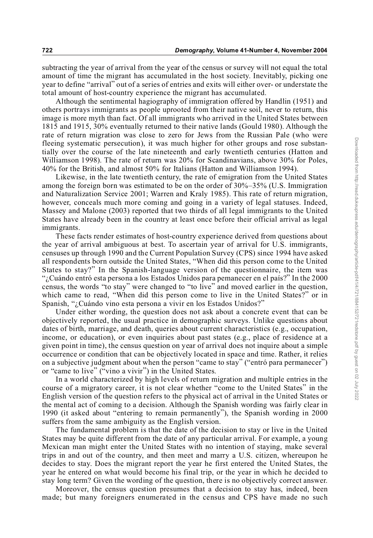subtracting the year of arrival from the year of the census or survey will not equal the total amount of time the migrant has accumulated in the host society. Inevitably, picking one year to define "arrival" out of a series of entries and exits will either over- or understate the total amount of host-country experience the migrant has accumulated.

Although the sentimental hagiography of immigration offered by Handlin (1951) and others portrays immigrants as people uprooted from their native soil, never to return, this image is more myth than fact. Of all immigrants who arrived in the United States between 1815 and 1915, 30% eventually returned to their native lands (Gould 1980). Although the rate of return migration was close to zero for Jews from the Russian Pale (who were fleeing systematic persecution), it was much higher for other groups and rose substantially over the course of the late nineteenth and early twentieth centuries (Hatton and Williamson 1998). The rate of return was 20% for Scandinavians, above 30% for Poles, 40% for the British, and almost 50% for Italians (Hatton and Williamson 1994).

Likewise, in the late twentieth century, the rate of emigration from the United States among the foreign born was estimated to be on the order of 30%–35% (U.S. Immigration and Naturalization Service 2001; Warren and Kraly 1985). This rate of return migration, however, conceals much more coming and going in a variety of legal statuses. Indeed, Massey and Malone (2003) reported that two thirds of all legal immigrants to the United States have already been in the country at least once before their official arrival as legal immigrants.

These facts render estimates of host-country experience derived from questions about the year of arrival ambiguous at best. To ascertain year of arrival for U.S. immigrants, censuses up through 1990 and the Current Population Survey (CPS) since 1994 have asked all respondents born outside the United States, "When did this person come to the United States to stay?" In the Spanish-language version of the questionnaire, the item was "¿Cuándo entró esta persona a los Estados Unidos para pemanecer en el país?" In the 2000 census, the words "to stay" were changed to "to live" and moved earlier in the question, which came to read, "When did this person come to live in the United States?" or in Spanish, "¿Cuándo vino esta persona a vivir en los Estados Unidos?"

Under either wording, the question does not ask about a concrete event that can be objectively reported, the usual practice in demographic surveys. Unlike questions about dates of birth, marriage, and death, queries about current characteristics (e.g., occupation, income, or education), or even inquiries about past states (e.g., place of residence at a given point in time), the census question on year of arrival does not inquire about a simple occurrence or condition that can be objectively located in space and time. Rather, it relies on a subjective judgment about when the person "came to stay" ("entró para permanecer") or "came to live" ("vino a vivir") in the United States.

In a world characterized by high levels of return migration and multiple entries in the course of a migratory career, it is not clear whether "come to the United States" in the English version of the question refers to the physical act of arrival in the United States or the mental act of coming to a decision. Although the Spanish wording was fairly clear in 1990 (it asked about "entering to remain permanently"), the Spanish wording in 2000 suffers from the same ambiguity as the English version.

The fundamental problem is that the date of the decision to stay or live in the United States may be quite different from the date of any particular arrival. For example, a young Mexican man might enter the United States with no intention of staying, make several trips in and out of the country, and then meet and marry a U.S. citizen, whereupon he decides to stay. Does the migrant report the year he first entered the United States, the year he entered on what would become his final trip, or the year in which he decided to stay long term? Given the wording of the question, there is no objectively correct answer.

Moreover, the census question presumes that a decision to stay has, indeed, been made; but many foreigners enumerated in the census and CPS have made no such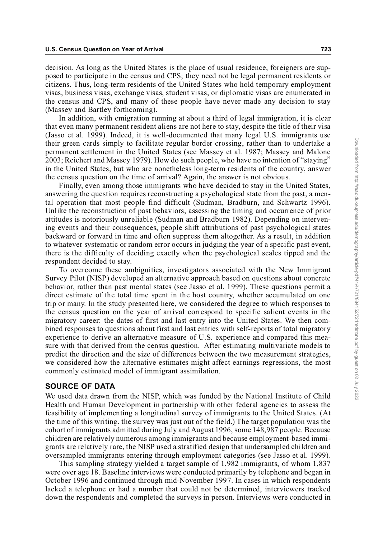decision. As long as the United States is the place of usual residence, foreigners are supposed to participate in the census and CPS; they need not be legal permanent residents or citizens. Thus, long-term residents of the United States who hold temporary employment visas, business visas, exchange visas, student visas, or diplomatic visas are enumerated in the census and CPS, and many of these people have never made any decision to stay (Massey and Bartley forthcoming).

In addition, with emigration running at about a third of legal immigration, it is clear that even many permanent resident aliens are not here to stay, despite the title of their visa (Jasso et al. 1999). Indeed, it is well-documented that many legal U.S. immigrants use their green cards simply to facilitate regular border crossing, rather than to undertake a permanent settlement in the United States (see Massey et al. 1987; Massey and Malone 2003; Reichert and Massey 1979). How do such people, who have no intention of "staying" in the United States, but who are nonetheless long-term residents of the country, answer the census question on the time of arrival? Again, the answer is not obvious.

Finally, even among those immigrants who have decided to stay in the United States, answering the question requires reconstructing a psychological state from the past, a mental operation that most people find difficult (Sudman, Bradburn, and Schwartz 1996). Unlike the reconstruction of past behaviors, assessing the timing and occurrence of prior attitudes is notoriously unreliable (Sudman and Bradburn 1982). Depending on intervening events and their consequences, people shift attributions of past psychological states backward or forward in time and often suppress them altogether. As a result, in addition to whatever systematic or random error occurs in judging the year of a specific past event, there is the difficulty of deciding exactly when the psychological scales tipped and the respondent decided to stay.

To overcome these ambiguities, investigators associated with the New Immigrant Survey Pilot (NISP) developed an alternative approach based on questions about concrete behavior, rather than past mental states (see Jasso et al. 1999). These questions permit a direct estimate of the total time spent in the host country, whether accumulated on one trip or many. In the study presented here, we considered the degree to which responses to the census question on the year of arrival correspond to specific salient events in the migratory career: the dates of first and last entry into the United States. We then combined responses to questions about first and last entries with self-reports of total migratory experience to derive an alternative measure of U.S. experience and compared this measure with that derived from the census question. After estimating multivariate models to predict the direction and the size of differences between the two measurement strategies, we considered how the alternative estimates might affect earnings regressions, the most commonly estimated model of immigrant assimilation.

#### **SOURCE OF DATA**

We used data drawn from the NISP, which was funded by the National Institute of Child Health and Human Development in partnership with other federal agencies to assess the feasibility of implementing a longitudinal survey of immigrants to the United States. (At the time of this writing, the survey was just out of the field.) The target population was the cohort of immigrants admitted during July and August 1996, some 148,987 people. Because children are relatively numerous among immigrants and because employment-based immigrants are relatively rare, the NISP used a stratified design that undersampled children and oversampled immigrants entering through employment categories (see Jasso et al. 1999).

This sampling strategy yielded a target sample of 1,982 immigrants, of whom 1,837 were over age 18. Baseline interviews were conducted primarily by telephone and began in October 1996 and continued through mid-November 1997. In cases in which respondents lacked a telephone or had a number that could not be determined, interviewers tracked down the respondents and completed the surveys in person. Interviews were conducted in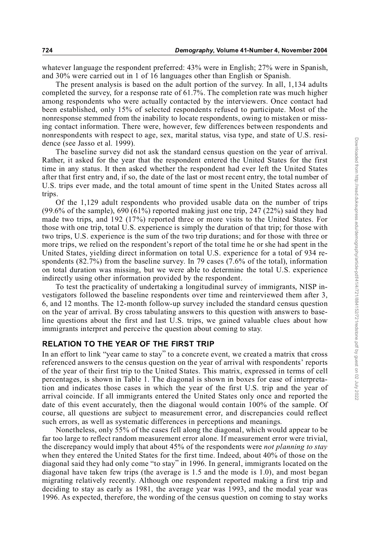whatever language the respondent preferred: 43% were in English; 27% were in Spanish, and 30% were carried out in 1 of 16 languages other than English or Spanish.

The present analysis is based on the adult portion of the survey. In all, 1,134 adults completed the survey, for a response rate of 61.7%. The completion rate was much higher among respondents who were actually contacted by the interviewers. Once contact had been established, only 15% of selected respondents refused to participate. Most of the nonresponse stemmed from the inability to locate respondents, owing to mistaken or missing contact information. There were, however, few differences between respondents and nonrespondents with respect to age, sex, marital status, visa type, and state of U.S. residence (see Jasso et al. 1999).

The baseline survey did not ask the standard census question on the year of arrival. Rather, it asked for the year that the respondent entered the United States for the first time in any status. It then asked whether the respondent had ever left the United States after that first entry and, if so, the date of the last or most recent entry, the total number of U.S. trips ever made, and the total amount of time spent in the United States across all trips.

Of the 1,129 adult respondents who provided usable data on the number of trips (99.6% of the sample), 690 (61%) reported making just one trip, 247 (22%) said they had made two trips, and 192 (17%) reported three or more visits to the United States. For those with one trip, total U.S. experience is simply the duration of that trip; for those with two trips, U.S. experience is the sum of the two trip durations; and for those with three or more trips, we relied on the respondent's report of the total time he or she had spent in the United States, yielding direct information on total U.S. experience for a total of 934 respondents (82.7%) from the baseline survey. In 79 cases (7.6% of the total), information on total duration was missing, but we were able to determine the total U.S. experience indirectly using other information provided by the respondent.

To test the practicality of undertaking a longitudinal survey of immigrants, NISP investigators followed the baseline respondents over time and reinterviewed them after 3, 6, and 12 months. The 12-month follow-up survey included the standard census question on the year of arrival. By cross tabulating answers to this question with answers to baseline questions about the first and last U.S. trips, we gained valuable clues about how immigrants interpret and perceive the question about coming to stay.

# **RELATION TO THE YEAR OF THE FIRST TRIP**

In an effort to link "year came to stay" to a concrete event, we created a matrix that cross referenced answers to the census question on the year of arrival with respondents' reports of the year of their first trip to the United States. This matrix, expressed in terms of cell percentages, is shown in Table 1. The diagonal is shown in boxes for ease of interpretation and indicates those cases in which the year of the first U.S. trip and the year of arrival coincide. If all immigrants entered the United States only once and reported the date of this event accurately, then the diagonal would contain 100% of the sample. Of course, all questions are subject to measurement error, and discrepancies could reflect such errors, as well as systematic differences in perceptions and meanings.

Nonetheless, only 55% of the cases fell along the diagonal, which would appear to be far too large to reflect random measurement error alone. If measurement error were trivial, the discrepancy would imply that about 45% of the respondents were *not planning to stay* when they entered the United States for the first time. Indeed, about 40% of those on the diagonal said they had only come "to stay" in 1996. In general, immigrants located on the diagonal have taken few trips (the average is 1.5 and the mode is 1.0), and most began migrating relatively recently. Although one respondent reported making a first trip and deciding to stay as early as 1981, the average year was 1993, and the modal year was 1996. As expected, therefore, the wording of the census question on coming to stay works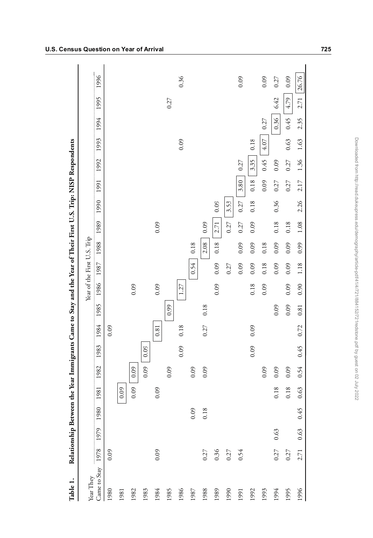| Table 1.     |      |      |      |      |      | Relationship Between the Year Immigrants Came to Stay and the Year of Their First U.S. Trip: NISP Respondents |      |      |      |                             |      |      |      |      |      |      |      |      |       |
|--------------|------|------|------|------|------|---------------------------------------------------------------------------------------------------------------|------|------|------|-----------------------------|------|------|------|------|------|------|------|------|-------|
| Year They    |      |      |      |      |      |                                                                                                               |      |      |      | Year of the First U.S. Trip |      |      |      |      |      |      |      |      |       |
| Came to Stay | 1978 | 1979 | 1980 | 1981 | 1982 | 1983                                                                                                          | 1984 | 1985 | 1986 | 1987                        | 1988 | 1989 | 1990 | 1991 | 1992 | 1993 | 1994 | 1995 | 1996  |
| 1980         | 0.09 |      |      |      |      |                                                                                                               | 0.09 |      |      |                             |      |      |      |      |      |      |      |      |       |
| 1981         |      |      |      | 0.09 |      |                                                                                                               |      |      |      |                             |      |      |      |      |      |      |      |      |       |
| 1982         |      |      |      | 0.09 | 0.09 |                                                                                                               |      |      | 0.09 |                             |      |      |      |      |      |      |      |      |       |
| 1983         |      |      |      |      | 0.09 | 0.09                                                                                                          |      |      |      |                             |      |      |      |      |      |      |      |      |       |
| 1984         | 0.09 |      |      | 0.09 |      |                                                                                                               | 0.81 |      | 0.09 |                             |      | 0.09 |      |      |      |      |      |      |       |
| 1985         |      |      |      |      | 0.09 |                                                                                                               |      | 0.99 |      |                             |      |      |      |      |      |      |      | 0.27 |       |
| 1986         |      |      |      |      |      | 0.09                                                                                                          | 0.18 |      | 1.27 |                             |      |      |      |      |      | 0.09 |      |      | 0.36  |
| 1987         |      |      | 0.09 |      | 0.09 |                                                                                                               |      |      |      | 0.54                        | 0.18 |      |      |      |      |      |      |      |       |
| 1988         | 0.27 |      | 0.18 |      | 0.09 |                                                                                                               | 0.27 | 0.18 |      |                             | 2.08 | 0.09 |      |      |      |      |      |      |       |
| 1989         | 0.36 |      |      |      |      |                                                                                                               |      |      | 0.09 | 0.09                        | 0.18 | 2.71 | 0.09 |      |      |      |      |      |       |
| 1990         | 0.27 |      |      |      |      |                                                                                                               |      |      |      | 0.27                        |      | 0.27 | 3.53 |      |      |      |      |      |       |
| 1991         | 0.54 |      |      |      |      |                                                                                                               |      |      |      | 0.09                        | 0.09 | 0.27 | 0.27 | 3.80 | 0.27 |      |      |      | 0.09  |
| 1992         |      |      |      |      |      | 0.09                                                                                                          | 0.09 |      | 0.18 | 0.09                        | 0.09 | 0.09 | 0.18 | 0.18 | 3.35 | 0.18 |      |      |       |
| 1993         |      |      |      |      | 0.09 |                                                                                                               |      |      | 0.09 | 0.18                        | 0.18 |      |      | 0.09 | 0.45 | 4.07 | 0.27 |      | 0.09  |
| 1994         | 0.27 | 0.63 |      | 0.18 | 0.09 |                                                                                                               |      | 0.09 |      | 0.09                        | 0.09 | 0.18 | 0.36 | 0.27 | 0.09 |      | 0.36 | 6.42 | 0.27  |
| 1995         | 0.27 |      |      | 0.18 | 0.09 |                                                                                                               |      | 0.09 | 0.09 | 0.09                        | 0.09 | 0.18 |      | 0.27 | 0.27 | 0.63 | 0.45 | 4.79 | 0.09  |
| 1996         | 2.71 | 0.63 | 645  | 0.63 | 0.54 | 0.45                                                                                                          | 0.72 | 0.81 | 0.90 | 1.18                        | 0.99 | 1.08 | 2.26 | 2.17 | 1.36 | 1.63 | 2.35 | 2.71 | 26.76 |
|              |      |      |      |      |      |                                                                                                               |      |      |      |                             |      |      |      |      |      |      |      |      |       |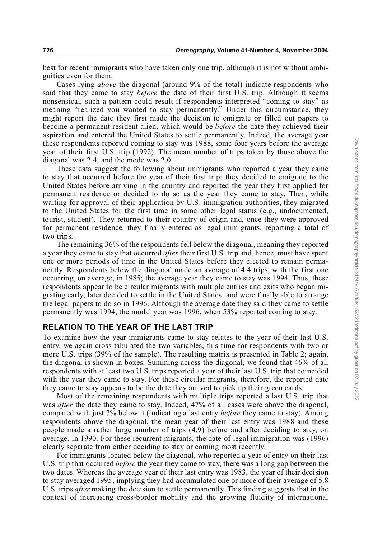best for recent immigrants who have taken only one trip, although it is not without ambiguities even for them.

Cases lying *above* the diagonal (around 9% of the total) indicate respondents who said that they came to stay *before* the date of their first U.S. trip. Although it seems nonsensical, such a pattern could result if respondents interpreted "coming to stay" as meaning "realized you wanted to stay permanently." Under this circumstance, they might report the date they first made the decision to emigrate or filled out papers to become a permanent resident alien, which would be *before* the date they achieved their aspiration and entered the United States to settle permanently. Indeed, the average year these respondents reported coming to stay was 1988, some four years before the average year of their first U.S. trip (1992). The mean number of trips taken by those above the diagonal was 2.4, and the mode was 2.0.

These data suggest the following about immigrants who reported a year they came to stay that occurred before the year of their first trip: they decided to emigrate to the United States before arriving in the country and reported the year they first applied for permanent residence or decided to do so as the year they came to stay. Then, while waiting for approval of their application by U.S. immigration authorities, they migrated to the United States for the first time in some other legal status (e.g., undocumented, tourist, student). They returned to their country of origin and, once they were approved for permanent residence, they finally entered as legal immigrants, reporting a total of two trips.

The remaining 36% of the respondents fell below the diagonal, meaning they reported a year they came to stay that occurred *after* their first U.S. trip and, hence, must have spent one or more periods of time in the United States before they elected to remain permanently. Respondents below the diagonal made an average of 4.4 trips, with the first one occurring, on average, in 1985; the average year they came to stay was 1994. Thus, these respondents appear to be circular migrants with multiple entries and exits who began migrating early, later decided to settle in the United States, and were finally able to arrange the legal papers to do so in 1996. Although the average date they said they came to settle permanently was 1994, the modal year was 1996, when 53% reported coming to stay.

# **RELATION TO THE YEAR OF THE LAST TRIP**

To examine how the year immigrants came to stay relates to the year of their last U.S. entry, we again cross tabulated the two variables, this time for respondents with two or more U.S. trips (39% of the sample). The resulting matrix is presented in Table 2; again, the diagonal is shown in boxes. Summing across the diagonal, we found that 46% of all respondents with at least two U.S. trips reported a year of their last U.S. trip that coincided with the year they came to stay. For these circular migrants, therefore, the reported date they came to stay appears to be the date they arrived to pick up their green cards.

Most of the remaining respondents with multiple trips reported a last U.S. trip that was *after* the date they came to stay. Indeed, 47% of all cases were above the diagonal, compared with just 7% below it (indicating a last entry *before* they came to stay). Among respondents above the diagonal, the mean year of their last entry was 1988 and these people made a rather large number of trips (4.9) before and after deciding to stay, on average, in 1990. For these recurrent migrants, the date of legal immigration was (1996) clearly separate from either deciding to stay or coming most recently.

For immigrants located below the diagonal, who reported a year of entry on their last U.S. trip that occurred *before* the year they came to stay, there was a long gap between the two dates. Whereas the average year of their last entry was 1983, the year of their decision to stay averaged 1995, implying they had accumulated one or more of their average of 5.8 U.S. trips *after* making the decision to settle permanently. This finding suggests that in the context of increasing cross-border mobility and the growing fluidity of international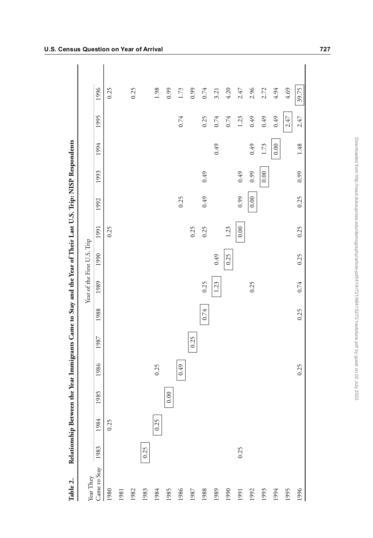| $\overline{\phantom{a}}$<br> <br> <br>ì<br>i<br>֧֖֧֦֧֦֧֦֧֦֧֦֧֦֧֦֧֚֚֚֚֚֓ <u>֚֓</u><br>I |  |
|----------------------------------------------------------------------------------------|--|
|                                                                                        |  |
| ā<br>F                                                                                 |  |

| Table 2.     |      | Relationship Between the Year Immigrants Came to Stay and the Year of Their Last U.S. Trip: NISP Respondents |           |      |      |      |                             |      |      |      |      |          |      |       |
|--------------|------|--------------------------------------------------------------------------------------------------------------|-----------|------|------|------|-----------------------------|------|------|------|------|----------|------|-------|
| Year They    |      |                                                                                                              |           |      |      |      | Year of the First U.S. Trip |      |      |      |      |          |      |       |
| Came to Stay | 1983 | 1984                                                                                                         | 1985      | 1986 | 1987 | 1988 | 1989                        | 1990 | 1991 | 1992 | 1993 | 1994     | 1995 | 1996  |
| 1980         |      | 0.25                                                                                                         |           |      |      |      |                             |      | 0.25 |      |      |          |      | 0.25  |
| 1981         |      |                                                                                                              |           |      |      |      |                             |      |      |      |      |          |      |       |
| 1982         |      |                                                                                                              |           |      |      |      |                             |      |      |      |      |          |      | 0.25  |
| 1983         | 0.25 |                                                                                                              |           |      |      |      |                             |      |      |      |      |          |      |       |
| 1984         |      | 0.25                                                                                                         |           | 0.25 |      |      |                             |      |      |      |      |          |      | 1.98  |
| 1985         |      |                                                                                                              | 0.00<br>┙ |      |      |      |                             |      |      |      |      |          |      | 0.99  |
| 1986         |      |                                                                                                              |           | 0.49 |      |      |                             |      |      | 0.25 |      |          | 0.74 | 1.73  |
| 1987         |      |                                                                                                              |           |      | 0.25 |      |                             |      | 0.25 |      |      |          |      | 0.99  |
| 1988         |      |                                                                                                              |           |      |      | 0.74 | 0.25                        |      | 0.25 | 0.49 | 0.49 |          | 0.25 | 0.74  |
| 1989         |      |                                                                                                              |           |      |      |      | 1.23                        | 0.49 |      |      |      | 0.49     | 0.74 | 3.21  |
| 1990         |      |                                                                                                              |           |      |      |      |                             | 0.25 | 1.23 |      |      |          | 0.74 | 4.20  |
| 1991         | 0.25 |                                                                                                              |           |      |      |      |                             |      | 0.00 | 0.99 | 649  |          | 1.23 | 2.47  |
| 1992         |      |                                                                                                              |           |      |      |      | 0.25                        |      |      | 0.00 | 0.99 | 0.49     | 0.49 | 2.96  |
| 1993         |      |                                                                                                              |           |      |      |      |                             |      |      |      | 0.00 | 1.73     | 649  | 2.72  |
| 1994         |      |                                                                                                              |           |      |      |      |                             |      |      |      |      | $0.00\,$ | 0.49 | 4.94  |
| 1995         |      |                                                                                                              |           |      |      |      |                             |      |      |      |      |          | 2.47 | 4.69  |
| 1996         |      |                                                                                                              |           | 0.25 |      | 0.25 | 0.74                        | 0.25 | 0.25 | 0.25 | 0.99 | 1.48     | 2.47 | 39.75 |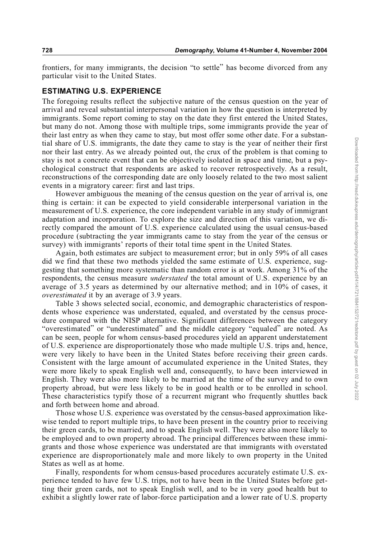frontiers, for many immigrants, the decision "to settle" has become divorced from any particular visit to the United States.

### **ESTIMATING U.S. EXPERIENCE**

The foregoing results reflect the subjective nature of the census question on the year of arrival and reveal substantial interpersonal variation in how the question is interpreted by immigrants. Some report coming to stay on the date they first entered the United States, but many do not. Among those with multiple trips, some immigrants provide the year of their last entry as when they came to stay, but most offer some other date. For a substantial share of U.S. immigrants, the date they came to stay is the year of neither their first nor their last entry. As we already pointed out, the crux of the problem is that coming to stay is not a concrete event that can be objectively isolated in space and time, but a psychological construct that respondents are asked to recover retrospectively. As a result, reconstructions of the corresponding date are only loosely related to the two most salient events in a migratory career: first and last trips.

However ambiguous the meaning of the census question on the year of arrival is, one thing is certain: it can be expected to yield considerable interpersonal variation in the measurement of U.S. experience, the core independent variable in any study of immigrant adaptation and incorporation. To explore the size and direction of this variation, we directly compared the amount of U.S. experience calculated using the usual census-based procedure (subtracting the year immigrants came to stay from the year of the census or survey) with immigrants' reports of their total time spent in the United States.

Again, both estimates are subject to measurement error; but in only 59% of all cases did we find that these two methods yielded the same estimate of U.S. experience, suggesting that something more systematic than random error is at work. Among 31% of the respondents, the census measure *understated* the total amount of U.S. experience by an average of 3.5 years as determined by our alternative method; and in 10% of cases, it *overestimated* it by an average of 3.9 years.

Table 3 shows selected social, economic, and demographic characteristics of respondents whose experience was understated, equaled, and overstated by the census procedure compared with the NISP alternative. Significant differences between the category "overestimated" or "underestimated" and the middle category "equaled" are noted. As can be seen, people for whom census-based procedures yield an apparent understatement of U.S. experience are disproportionately those who made multiple U.S. trips and, hence, were very likely to have been in the United States before receiving their green cards. Consistent with the large amount of accumulated experience in the United States, they were more likely to speak English well and, consequently, to have been interviewed in English. They were also more likely to be married at the time of the survey and to own property abroad, but were less likely to be in good health or to be enrolled in school. These characteristics typify those of a recurrent migrant who frequently shuttles back and forth between home and abroad.

Those whose U.S. experience was overstated by the census-based approximation likewise tended to report multiple trips, to have been present in the country prior to receiving their green cards, to be married, and to speak English well. They were also more likely to be employed and to own property abroad. The principal differences between these immigrants and those whose experience was understated are that immigrants with overstated experience are disproportionately male and more likely to own property in the United States as well as at home.

Finally, respondents for whom census-based procedures accurately estimate U.S. experience tended to have few U.S. trips, not to have been in the United States before getting their green cards, not to speak English well, and to be in very good health but to exhibit a slightly lower rate of labor-force participation and a lower rate of U.S. property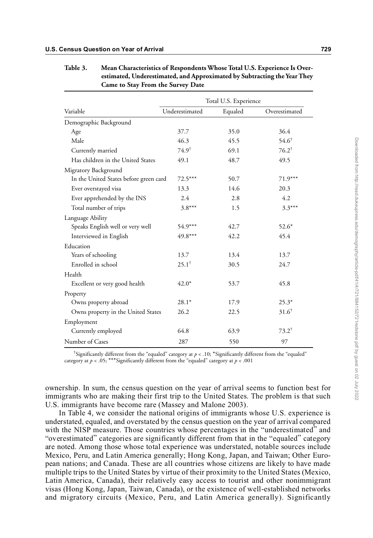|                                        |                  | Total U.S. Experience |                  |
|----------------------------------------|------------------|-----------------------|------------------|
| Variable                               | Underestimated   | Equaled               | Overestimated    |
| Demographic Background                 |                  |                       |                  |
| Age                                    | 37.7             | 35.0                  | 36.4             |
| Male                                   | 46.3             | 45.5                  | $54.6^{\dagger}$ |
| Currently married                      | $74.9^{\dagger}$ | 69.1                  | $76.2^{\dagger}$ |
| Has children in the United States      | 49.1             | 48.7                  | 49.5             |
| Migratory Background                   |                  |                       |                  |
| In the United States before green card | 72.5***          | 50.7                  | $71.9***$        |
| Ever overstayed visa                   | 13.3             | 14.6                  | 20.3             |
| Ever apprehended by the INS            | 2.4              | 2.8                   | 4.2              |
| Total number of trips                  | $3.8***$         | 1.5                   | $3.3***$         |
| Language Ability                       |                  |                       |                  |
| Speaks English well or very well       | 54.9***          | 42.7                  | $52.6*$          |
| Interviewed in English                 | $49.8***$        | 42.2                  | 45.4             |
| Education                              |                  |                       |                  |
| Years of schooling                     | 13.7             | 13.4                  | 13.7             |
| Enrolled in school                     | $25.1^+$         | 30.5                  | 24.7             |
| Health                                 |                  |                       |                  |
| Excellent or very good health          | $42.0*$          | 53.7                  | 45.8             |
| Property                               |                  |                       |                  |
| Owns property abroad                   | $28.1*$          | 17.9                  | $25.3*$          |
| Owns property in the United States     | 26.2             | 22.5                  | $31.6^{\dagger}$ |
| Employment                             |                  |                       |                  |
| Currently employed                     | 64.8             | 63.9                  | $73.2^{\dagger}$ |
| Number of Cases                        | 287              | 550                   | 97               |

| Table 3. | Mean Characteristics of Respondents Whose Total U.S. Experience Is Over- |
|----------|--------------------------------------------------------------------------|
|          | estimated, Underestimated, and Approximated by Subtracting the Year They |
|          | <b>Came to Stay From the Survey Date</b>                                 |

† Significantly different from the "equaled" category at *p* < .10; \*Significantly different from the "equaled" category at *p* < .05; \*\*\*Significantly different from the "equaled" category at *p* < .001

ownership. In sum, the census question on the year of arrival seems to function best for immigrants who are making their first trip to the United States. The problem is that such U.S. immigrants have become rare (Massey and Malone 2003).

In Table 4, we consider the national origins of immigrants whose U.S. experience is understated, equaled, and overstated by the census question on the year of arrival compared with the NISP measure. Those countries whose percentages in the "underestimated" and "overestimated" categories are significantly different from that in the "equaled" category are noted. Among those whose total experience was understated, notable sources include Mexico, Peru, and Latin America generally; Hong Kong, Japan, and Taiwan; Other European nations; and Canada. These are all countries whose citizens are likely to have made multiple trips to the United States by virtue of their proximity to the United States (Mexico, Latin America, Canada), their relatively easy access to tourist and other nonimmigrant visas (Hong Kong, Japan, Taiwan, Canada), or the existence of well-established networks and migratory circuits (Mexico, Peru, and Latin America generally). Significantly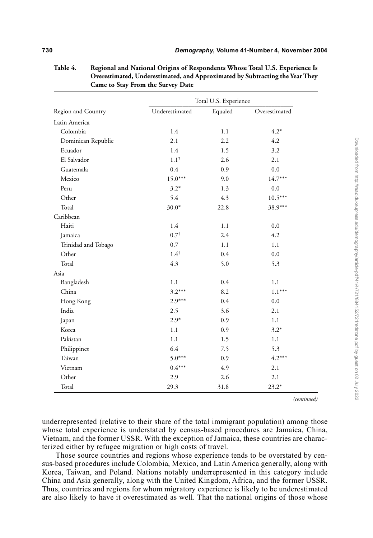|                     |                 | Total U.S. Experience |               |  |  |
|---------------------|-----------------|-----------------------|---------------|--|--|
| Region and Country  | Underestimated  | Equaled               | Overestimated |  |  |
| Latin America       |                 |                       |               |  |  |
| Colombia            | 1.4             | 1.1                   | $4.2*$        |  |  |
| Dominican Republic  | 2.1             | 2.2                   | 4.2           |  |  |
| Ecuador             | 1.4             | 1.5                   | 3.2           |  |  |
| El Salvador         | $1.1^{\dagger}$ | 2.6                   | 2.1           |  |  |
| Guatemala           | 0.4             | 0.9                   | 0.0           |  |  |
| Mexico              | $15.0***$       | 9.0                   | $14.7***$     |  |  |
| Peru                | $3.2*$          | 1.3                   | 0.0           |  |  |
| Other               | 5.4             | 4.3                   | $10.5***$     |  |  |
| Total               | $30.0*$         | 22.8                  | 38.9***       |  |  |
| Caribbean           |                 |                       |               |  |  |
| Haiti               | 1.4             | 1.1                   | 0.0           |  |  |
| Jamaica             | $0.7^{\dagger}$ | 2.4                   | 4.2           |  |  |
| Trinidad and Tobago | 0.7             | 1.1                   | 1.1           |  |  |
| Other               | $1.4^{\dagger}$ | 0.4                   | 0.0           |  |  |
| Total               | 4.3             | 5.0                   | 5.3           |  |  |
| Asia                |                 |                       |               |  |  |
| Bangladesh          | 1.1             | 0.4                   | 1.1           |  |  |
| China               | $3.2***$        | 8.2                   | $1.1***$      |  |  |
| Hong Kong           | $2.9***$        | 0.4                   | 0.0           |  |  |
| India               | 2.5             | 3.6                   | 2.1           |  |  |
| Japan               | $2.9*$          | 0.9                   | 1.1           |  |  |
| Korea               | 1.1             | 0.9                   | $3.2*$        |  |  |
| Pakistan            | 1.1             | 1.5                   | 1.1           |  |  |
| Philippines         | 6.4             | 7.5                   | 5.3           |  |  |
| Taiwan              | $5.0***$        | 0.9                   | $4.2***$      |  |  |
| Vietnam             | $0.4***$        | 4.9                   | 2.1           |  |  |
| Other               | 2.9             | 2.6                   | 2.1           |  |  |
| Total               | 29.3            | 31.8                  | $23.2*$       |  |  |

| Table 4. | Regional and National Origins of Respondents Whose Total U.S. Experience Is  |
|----------|------------------------------------------------------------------------------|
|          | Overestimated, Underestimated, and Approximated by Subtracting the Year They |
|          | <b>Came to Stay From the Survey Date</b>                                     |

*(continued)*

underrepresented (relative to their share of the total immigrant population) among those whose total experience is understated by census-based procedures are Jamaica, China, Vietnam, and the former USSR. With the exception of Jamaica, these countries are characterized either by refugee migration or high costs of travel.

Those source countries and regions whose experience tends to be overstated by census-based procedures include Colombia, Mexico, and Latin America generally, along with Korea, Taiwan, and Poland. Nations notably underrepresented in this category include China and Asia generally, along with the United Kingdom, Africa, and the former USSR. Thus, countries and regions for whom migratory experience is likely to be underestimated are also likely to have it overestimated as well. That the national origins of those whose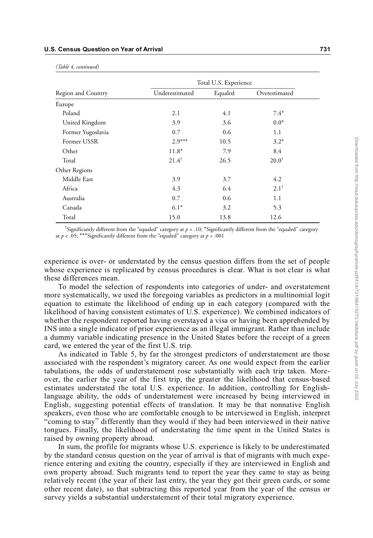|                    |                  | Total U.S. Experience |                  |
|--------------------|------------------|-----------------------|------------------|
| Region and Country | Underestimated   | Equaled               | Overestimated    |
| Europe             |                  |                       |                  |
| Poland             | 2.1              | 4.1                   | $7.4*$           |
| United Kingdom     | 3.9              | 3.6                   | $0.0*$           |
| Former Yugoslavia  | 0.7              | 0.6                   | 1.1              |
| Former USSR        | $2.9***$         | 10.5                  | $3.2*$           |
| Other              | $11.8*$          | 7.9                   | 8.4              |
| Total              | $21.4^{\dagger}$ | 26.5                  | $20.0^{\dagger}$ |
| Other Regions      |                  |                       |                  |
| Middle East        | 3.9              | 3.7                   | 4.2              |
| Africa             | 4.3              | 6.4                   | $2.1^{\dagger}$  |
| Australia          | 0.7              | 0.6                   | 1.1              |
| Canada             | $6.1*$           | 3.2                   | 5.3              |
| Total              | 15.0             | 13.8                  | 12.6             |

*(Table 4, continued)*

<sup>†</sup>Significantly different from the "equaled" category at  $p<.10;$  \*Significantly different from the "equaled" category at  $p < .05$ ; \*\*\*Significantly different from the "equaled" category at  $p < .001$ 

experience is over- or understated by the census question differs from the set of people whose experience is replicated by census procedures is clear. What is not clear is what these differences mean.

To model the selection of respondents into categories of under- and overstatement more systematically, we used the foregoing variables as predictors in a multinomial logit equation to estimate the likelihood of ending up in each category (compared with the likelihood of having consistent estimates of U.S. experience). We combined indicators of whether the respondent reported having overstayed a visa or having been apprehended by INS into a single indicator of prior experience as an illegal immigrant. Rather than include a dummy variable indicating presence in the United States before the receipt of a green card, we entered the year of the first U.S. trip.

As indicated in Table 5, by far the strongest predictors of understatement are those associated with the respondent's migratory career. As one would expect from the earlier tabulations, the odds of understatement rose substantially with each trip taken. Moreover, the earlier the year of the first trip, the greater the likelihood that census-based estimates understated the total U.S. experience. In addition, controlling for Englishlanguage ability, the odds of understatement were increased by being interviewed in English, suggesting potential effects of translation. It may be that nonnative English speakers, even those who are comfortable enough to be interviewed in English, interpret "coming to stay" differently than they would if they had been interviewed in their native tongues. Finally, the likelihood of understating the time spent in the United States is raised by owning property abroad.

In sum, the profile for migrants whose U.S. experience is likely to be underestimated by the standard census question on the year of arrival is that of migrants with much experience entering and exiting the country, especially if they are interviewed in English and own property abroad. Such migrants tend to report the year they came to stay as being relatively recent (the year of their last entry, the year they got their green cards, or some other recent date), so that subtracting this reported year from the year of the census or survey yields a substantial understatement of their total migratory experience.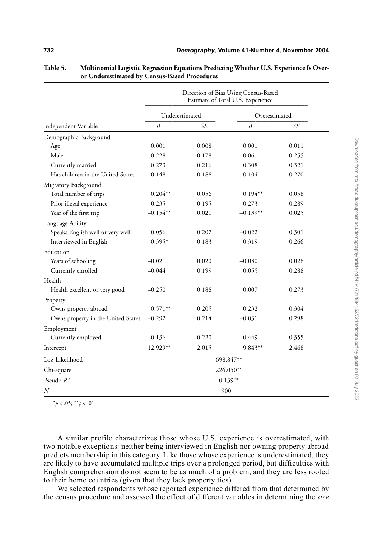Downloaded from http://read.dukeupress.edu/demography/article-pdf/41/4/721/884152/721redstone.pdf by guest on 02 July 2022

| 732 | Demography, Volume 41-Number 4, November 2004 |
|-----|-----------------------------------------------|
|     |                                               |

|                                    |                |           | Direction of Bias Using Census-Based<br>Estimate of Total U.S. Experience |           |  |
|------------------------------------|----------------|-----------|---------------------------------------------------------------------------|-----------|--|
|                                    | Underestimated |           | Overestimated                                                             |           |  |
| Independent Variable               | B              | <b>SE</b> | $\boldsymbol{B}$                                                          | <b>SE</b> |  |
| Demographic Background             |                |           |                                                                           |           |  |
| Age                                | 0.001          | 0.008     | 0.001                                                                     | 0.011     |  |
| Male                               | $-0.228$       | 0.178     | 0.061                                                                     | 0.255     |  |
| Currently married                  | 0.273          | 0.216     | 0.308                                                                     | 0.321     |  |
| Has children in the United States  | 0.148          | 0.188     | 0.104                                                                     | 0.270     |  |
| Migratory Background               |                |           |                                                                           |           |  |
| Total number of trips              | $0.204**$      | 0.056     | $0.194**$                                                                 | 0.058     |  |
| Prior illegal experience           | 0.235          | 0.195     | 0.273                                                                     | 0.289     |  |
| Year of the first trip             | $-0.154**$     | 0.021     | $-0.139**$                                                                | 0.025     |  |
| Language Ability                   |                |           |                                                                           |           |  |
| Speaks English well or very well   | 0.056          | 0.207     | $-0.022$                                                                  | 0.301     |  |
| Interviewed in English             | $0.395*$       | 0.183     | 0.319                                                                     | 0.266     |  |
| Education                          |                |           |                                                                           |           |  |
| Years of schooling                 | $-0.021$       | 0.020     | $-0.030$                                                                  | 0.028     |  |
| Currently enrolled                 | $-0.044$       | 0.199     | 0.055                                                                     | 0.288     |  |
| Health                             |                |           |                                                                           |           |  |
| Health excellent or very good      | $-0.250$       | 0.188     | 0.007                                                                     | 0.273     |  |
| Property                           |                |           |                                                                           |           |  |
| Owns property abroad               | $0.571**$      | 0.205     | 0.232                                                                     | 0.304     |  |
| Owns property in the United States | $-0.292$       | 0.214     | $-0.031$                                                                  | 0.298     |  |
| Employment                         |                |           |                                                                           |           |  |
| Currently employed                 | $-0.136$       | 0.220     | 0.449                                                                     | 0.355     |  |
| Intercept                          | 12.929**       | 2.015     | $9.843**$                                                                 | 2.468     |  |
| Log-Likelihood                     |                |           | $-698.847**$                                                              |           |  |
| Chi-square                         |                |           | 226.050**                                                                 |           |  |
| Pseudo $R^2$                       |                |           | $0.139**$                                                                 |           |  |
| Ν                                  |                |           | 900                                                                       |           |  |

| Table 5. | Multinomial Logistic Regression Equations Predicting Whether U.S. Experience Is Over- |
|----------|---------------------------------------------------------------------------------------|
|          | or Underestimated by Census-Based Procedures                                          |

\**p* < .05; \*\**p* < .01

A similar profile characterizes those whose U.S. experience is overestimated, with two notable exceptions: neither being interviewed in English nor owning property abroad predicts membership in this category. Like those whose experience is underestimated, they are likely to have accumulated multiple trips over a prolonged period, but difficulties with English comprehension do not seem to be as much of a problem, and they are less rooted to their home countries (given that they lack property ties).

We selected respondents whose reported experience differed from that determined by the census procedure and assessed the effect of different variables in determining the *size*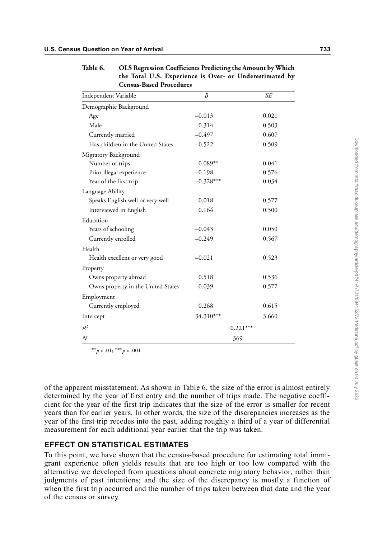| Census-Dascu i fotcunies           |             |            |
|------------------------------------|-------------|------------|
| Independent Variable               | B           | <b>SE</b>  |
| Demographic Background             |             |            |
| Age                                | $-0.013$    | 0.021      |
| Male                               | 0.314       | 0.503      |
| Currently married                  | $-0.497$    | 0.607      |
| Has children in the United States  | $-0.522$    | 0.509      |
| Migratory Background               |             |            |
| Number of trips                    | $-0.089**$  | 0.041      |
| Prior illegal experience           | $-0.198$    | 0.576      |
| Year of the first trip             | $-0.328***$ | 0.034      |
| Language Ability                   |             |            |
| Speaks English well or very well   | 0.018       | 0.577      |
| Interviewed in English             | 0.164       | 0.500      |
| Education                          |             |            |
| Years of schooling                 | $-0.043$    | 0.050      |
| Currently enrolled                 | $-0.249$    | 0.567      |
| Health                             |             |            |
| Health excellent or very good      | $-0.021$    | 0.523      |
| Property                           |             |            |
| Owns property abroad               | 0.518       | 0.536      |
| Owns property in the United States | $-0.039$    | 0.577      |
| Employment                         |             |            |
| Currently employed                 | 0.268       | 0.615      |
| Intercept                          | 34.310***   | 3.660      |
| $R^2$                              |             | $0.221***$ |
| N                                  |             | 369        |

**Table 6. OLS Regression Coefficients Predicting the Amount by Which the Total U.S. Experience is Over- or Underestimated by Census-Based Procedures**

\*\* $p < .01$ ; \*\*\* $p < .001$ 

of the apparent misstatement. As shown in Table 6, the size of the error is almost entirely determined by the year of first entry and the number of trips made. The negative coefficient for the year of the first trip indicates that the size of the error is smaller for recent years than for earlier years. In other words, the size of the discrepancies increases as the year of the first trip recedes into the past, adding roughly a third of a year of differential measurement for each additional year earlier that the trip was taken.

# **EFFECT ON STATISTICAL ESTIMATES**

To this point, we have shown that the census-based procedure for estimating total immigrant experience often yields results that are too high or too low compared with the alternative we developed from questions about concrete migratory behavior, rather than judgments of past intentions; and the size of the discrepancy is mostly a function of when the first trip occurred and the number of trips taken between that date and the year of the census or survey.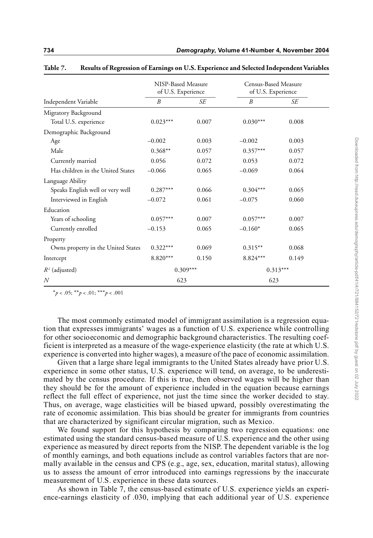|                                               | NISP-Based Measure<br>of U.S. Experience |       | Census-Based Measure<br>of U.S. Experience |       |
|-----------------------------------------------|------------------------------------------|-------|--------------------------------------------|-------|
| Independent Variable                          | $\overline{B}$                           | SE    | $\boldsymbol{B}$                           | SE    |
| Migratory Background<br>Total U.S. experience | $0.023***$                               | 0.007 | $0.030***$                                 | 0.008 |
| Demographic Background                        |                                          |       |                                            |       |
| Age                                           | $-0.002$                                 | 0.003 | $-0.002$                                   | 0.003 |
| Male                                          | $0.368**$                                | 0.057 | $0.357***$                                 | 0.057 |
| Currently married                             | 0.056                                    | 0.072 | 0.053                                      | 0.072 |
| Has children in the United States             | $-0.066$                                 | 0.065 | $-0.069$                                   | 0.064 |
| Language Ability                              |                                          |       |                                            |       |
| Speaks English well or very well              | $0.287***$                               | 0.066 | $0.304***$                                 | 0.065 |
| Interviewed in English                        | $-0.072$                                 | 0.061 | $-0.075$                                   | 0.060 |
| Education                                     |                                          |       |                                            |       |
| Years of schooling                            | $0.057***$                               | 0.007 | $0.057***$                                 | 0.007 |
| Currently enrolled                            | $-0.153$                                 | 0.065 | $-0.160*$                                  | 0.065 |
| Property                                      |                                          |       |                                            |       |
| Owns property in the United States            | $0.322***$                               | 0.069 | $0.315**$                                  | 0.068 |
| Intercept                                     | $8.820***$                               | 0.150 | 8.824***                                   | 0.149 |
| $R2$ (adjusted)                               | $0.309***$                               |       | $0.313***$                                 |       |
| N                                             | 623                                      |       | 623                                        |       |

| Table 7. |  |  | Results of Regression of Earnings on U.S. Experience and Selected Independent Variables |
|----------|--|--|-----------------------------------------------------------------------------------------|
|          |  |  |                                                                                         |

\**p* < .05; \*\**p* < .01; \*\*\**p* < .001

The most commonly estimated model of immigrant assimilation is a regression equation that expresses immigrants' wages as a function of U.S. experience while controlling for other socioeconomic and demographic background characteristics. The resulting coefficient is interpreted as a measure of the wage-experience elasticity (the rate at which U.S. experience is converted into higher wages), a measure of the pace of economic assimilation.

Given that a large share legal immigrants to the United States already have prior U.S. experience in some other status, U.S. experience will tend, on average, to be underestimated by the census procedure. If this is true, then observed wages will be higher than they should be for the amount of experience included in the equation because earnings reflect the full effect of experience, not just the time since the worker decided to stay. Thus, on average, wage elasticities will be biased upward, possibly overestimating the rate of economic assimilation. This bias should be greater for immigrants from countries that are characterized by significant circular migration, such as Mexico.

We found support for this hypothesis by comparing two regression equations: one estimated using the standard census-based measure of U.S. experience and the other using experience as measured by direct reports from the NISP. The dependent variable is the log of monthly earnings, and both equations include as control variables factors that are normally available in the census and CPS (e.g., age, sex, education, marital status), allowing us to assess the amount of error introduced into earnings regressions by the inaccurate measurement of U.S. experience in these data sources.

As shown in Table 7, the census-based estimate of U.S. experience yields an experience-earnings elasticity of .030, implying that each additional year of U.S. experience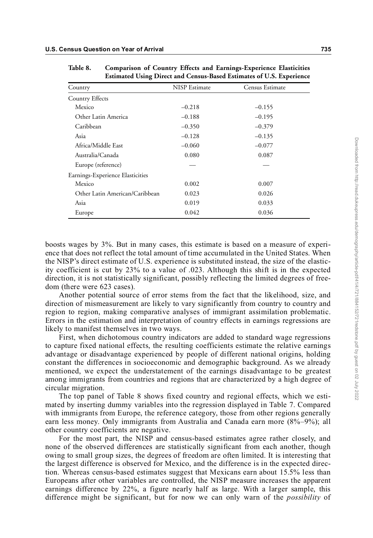| Country                          | <b>NISP</b> Estimate | Census Estimate |  |
|----------------------------------|----------------------|-----------------|--|
| Country Effects                  |                      |                 |  |
| Mexico                           | $-0.218$             | $-0.155$        |  |
| Other Latin America              | $-0.188$             | $-0.195$        |  |
| Caribbean                        | $-0.350$             | $-0.379$        |  |
| Asia                             | $-0.128$             | $-0.135$        |  |
| Africa/Middle East               | $-0.060$             | $-0.077$        |  |
| Australia/Canada                 | 0.080                | 0.087           |  |
| Europe (reference)               |                      |                 |  |
| Earnings-Experience Elasticities |                      |                 |  |
| Mexico                           | 0.002                | 0.007           |  |
| Other Latin American/Caribbean   | 0.023                | 0.026           |  |
| Asia                             | 0.019                | 0.033           |  |
| Europe                           | 0.042                | 0.036           |  |

**Table 8. Comparison of Country Effects and Earnings-Experience Elasticities Estimated Using Direct and Census-Based Estimates of U.S. Experience**

boosts wages by 3%. But in many cases, this estimate is based on a measure of experience that does not reflect the total amount of time accumulated in the United States. When the NISP's direct estimate of U.S. experience is substituted instead, the size of the elasticity coefficient is cut by 23% to a value of .023. Although this shift is in the expected direction, it is not statistically significant, possibly reflecting the limited degrees of freedom (there were 623 cases).

Another potential source of error stems from the fact that the likelihood, size, and direction of mismeasurement are likely to vary significantly from country to country and region to region, making comparative analyses of immigrant assimilation problematic. Errors in the estimation and interpretation of country effects in earnings regressions are likely to manifest themselves in two ways.

First, when dichotomous country indicators are added to standard wage regressions to capture fixed national effects, the resulting coefficients estimate the relative earnings advantage or disadvantage experienced by people of different national origins, holding constant the differences in socioeconomic and demographic background. As we already mentioned, we expect the understatement of the earnings disadvantage to be greatest among immigrants from countries and regions that are characterized by a high degree of circular migration.

The top panel of Table 8 shows fixed country and regional effects, which we estimated by inserting dummy variables into the regression displayed in Table 7. Compared with immigrants from Europe, the reference category, those from other regions generally earn less money. Only immigrants from Australia and Canada earn more (8%–9%); all other country coefficients are negative.

For the most part, the NISP and census-based estimates agree rather closely, and none of the observed differences are statistically significant from each another, though owing to small group sizes, the degrees of freedom are often limited. It is interesting that the largest difference is observed for Mexico, and the difference is in the expected direction. Whereas census-based estimates suggest that Mexicans earn about 15.5% less than Europeans after other variables are controlled, the NISP measure increases the apparent earnings difference by 22%, a figure nearly half as large. With a larger sample, this difference might be significant, but for now we can only warn of the *possibility* of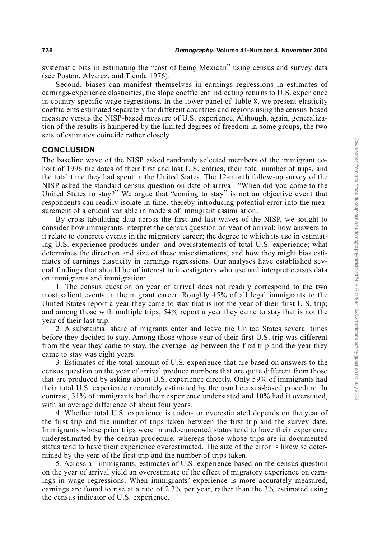systematic bias in estimating the "cost of being Mexican" using census and survey data (see Poston, Alvarez, and Tienda 1976).

Second, biases can manifest themselves in earnings regressions in estimates of earnings-experience elasticities, the slope coefficient indicating returns to U.S. experience in country-specific wage regressions. In the lower panel of Table 8, we present elasticity coefficients estimated separately for different countries and regions using the census-based measure versus the NISP-based measure of U.S. experience. Although, again, generalization of the results is hampered by the limited degrees of freedom in some groups, the two sets of estimates coincide rather closely.

#### **CONCLUSION**

The baseline wave of the NISP asked randomly selected members of the immigrant cohort of 1996 the dates of their first and last U.S. entries, their total number of trips, and the total time they had spent in the United States. The 12-month follow-up survey of the NISP asked the standard census question on date of arrival: "When did you come to the United States to stay?" We argue that "coming to stay" is not an objective event that respondents can readily isolate in time, thereby introducing potential error into the measurement of a crucial variable in models of immigrant assimilation.

By cross tabulating data across the first and last waves of the NISP, we sought to consider how immigrants interpret the census question on year of arrival; how answers to it relate to concrete events in the migratory career; the degree to which its use in estimating U.S. experience produces under- and overstatements of total U.S. experience; what determines the direction and size of these misestimations; and how they might bias estimates of earnings elasticity in earnings regressions. Our analyses have established several findings that should be of interest to investigators who use and interpret census data on immigrants and immigration:

1. The census question on year of arrival does not readily correspond to the two most salient events in the migrant career. Roughly 45% of all legal immigrants to the United States report a year they came to stay that is not the year of their first U.S. trip; and among those with multiple trips, 54% report a year they came to stay that is not the year of their last trip.

2. A substantial share of migrants enter and leave the United States several times before they decided to stay. Among those whose year of their first U.S. trip was different from the year they came to stay, the average lag between the first trip and the year they came to stay was eight years.

3. Estimates of the total amount of U.S. experience that are based on answers to the census question on the year of arrival produce numbers that are quite different from those that are produced by asking about U.S. experience directly. Only 59% of immigrants had their total U.S. experience accurately estimated by the usual census-based procedure. In contrast, 31% of immigrants had their experience understated and 10% had it overstated, with an average difference of about four years.

4. Whether total U.S. experience is under- or overestimated depends on the year of the first trip and the number of trips taken between the first trip and the survey date. Immigrants whose prior trips were in undocumented status tend to have their experience underestimated by the census procedure, whereas those whose trips are in documented status tend to have their experience overestimated. The size of the error is likewise determined by the year of the first trip and the number of trips taken.

5. Across all immigrants, estimates of U.S. experience based on the census question on the year of arrival yield an overestimate of the effect of migratory experience on earnings in wage regressions. When immigrants' experience is more accurately measured, earnings are found to rise at a rate of 2.3% per year, rather than the 3% estimated using the census indicator of U.S. experience.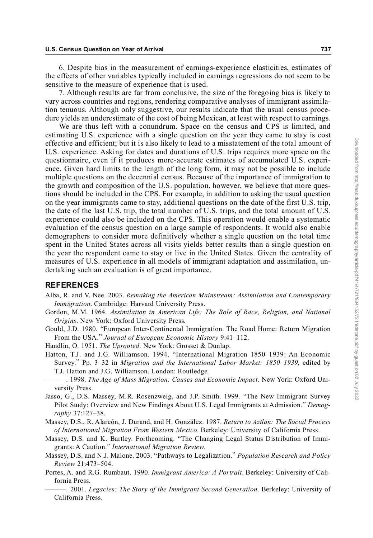6. Despite bias in the measurement of earnings-experience elasticities, estimates of the effects of other variables typically included in earnings regressions do not seem to be sensitive to the measure of experience that is used.

7. Although results are far from conclusive, the size of the foregoing bias is likely to vary across countries and regions, rendering comparative analyses of immigrant assimilation tenuous. Although only suggestive, our results indicate that the usual census procedure yields an underestimate of the cost of being Mexican, at least with respect to earnings.

We are thus left with a conundrum. Space on the census and CPS is limited, and estimating U.S. experience with a single question on the year they came to stay is cost effective and efficient; but it is also likely to lead to a misstatement of the total amount of U.S. experience. Asking for dates and durations of U.S. trips requires more space on the questionnaire, even if it produces more-accurate estimates of accumulated U.S. experience. Given hard limits to the length of the long form, it may not be possible to include multiple questions on the decennial census. Because of the importance of immigration to the growth and composition of the U.S. population, however, we believe that more questions should be included in the CPS. For example, in addition to asking the usual question on the year immigrants came to stay, additional questions on the date of the first U.S. trip, the date of the last U.S. trip, the total number of U.S. trips, and the total amount of U.S. experience could also be included on the CPS. This operation would enable a systematic evaluation of the census question on a large sample of respondents. It would also enable demographers to consider more definitively whether a single question on the total time spent in the United States across all visits yields better results than a single question on the year the respondent came to stay or live in the United States. Given the centrality of measures of U.S. experience in all models of immigrant adaptation and assimilation, undertaking such an evaluation is of great importance.

#### **REFERENCES**

- Alba, R. and V. Nee. 2003. *Remaking the American Mainstream: Assimilation and Contemporary Immigration*. Cambridge: Harvard University Press.
- Gordon, M.M. 1964. *Assimilation in American Life: The Role of Race, Religion, and National Origins*. New York: Oxford University Press.
- Gould, J.D. 1980. "European Inter-Continental Immigration. The Road Home: Return Migration From the USA." *Journal of European Economic History* 9:41–112.
- Handlin, O. 1951. *The Uprooted*. New York: Grosset & Dunlap.
- Hatton, T.J. and J.G. Williamson. 1994. "International Migration 1850–1939: An Economic Survey." Pp. 3–32 in *Migration and the International Labor Market: 1850–1939,* edited by T.J. Hatton and J.G. Williamson. London: Routledge.
	- ———. 1998. *The Age of Mass Migration: Causes and Economic Impact*. New York: Oxford University Press.
- Jasso, G., D.S. Massey, M.R. Rosenzweig, and J.P. Smith. 1999. "The New Immigrant Survey Pilot Study: Overview and New Findings About U.S. Legal Immigrants at Admission." *Demography* 37:127–38.
- Massey, D.S., R. Alarcón, J. Durand, and H. González. 1987. *Return to Aztlan: The Social Process of International Migration From Western Mexico*. Berkeley: University of California Press.
- Massey, D.S. and K. Bartley. Forthcoming. "The Changing Legal Status Distribution of Immigrants: A Caution." *International Migration Review*.
- Massey, D.S. and N.J. Malone. 2003. "Pathways to Legalization." *Population Research and Policy Review* 21:473–504.
- Portes, A. and R.G. Rumbaut. 1990. *Immigrant America: A Portrait*. Berkeley: University of California Press.
	- ———. 2001. *Legacies: The Story of the Immigrant Second Generation*. Berkeley: University of California Press.